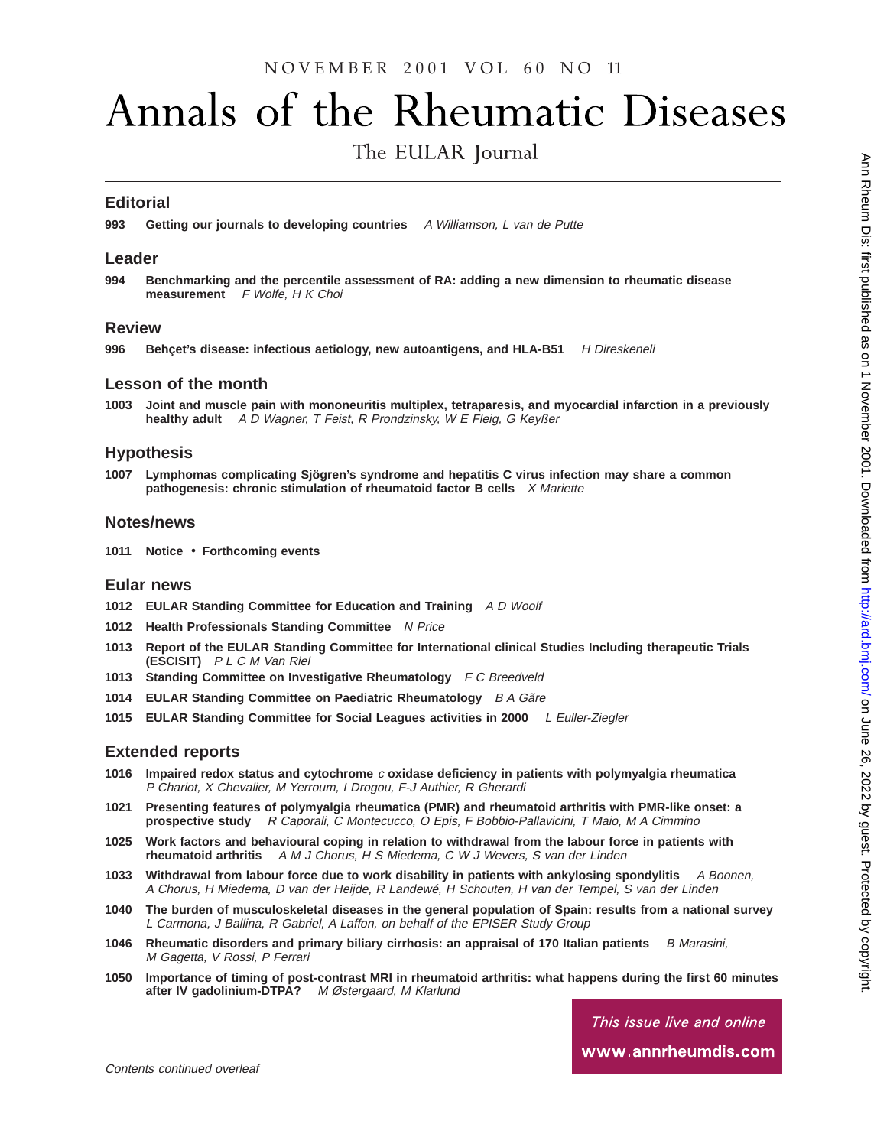# N O V E M B E R 2001 V O L 60 N O 11

# Annals of the Rheumatic Diseases

The EULAR Journal

## **Editorial**

**993 Getting our journals to developing countries** A Williamson, L van de Putte

#### **Leader**

**994 Benchmarking and the percentile assessment of RA: adding a new dimension to rheumatic disease measurement** F Wolfe, H K Choi

#### **Review**

996 Behçet's disease: infectious aetiology, new autoantigens, and HLA-B51 H Direskeneli

#### **Lesson of the month**

**1003 Joint and muscle pain with mononeuritis multiplex, tetraparesis, and myocardial infarction in a previously healthy adult** <sup>A</sup> <sup>D</sup> Wagner, <sup>T</sup> Feist, <sup>R</sup> Prondzinsky, <sup>W</sup> <sup>E</sup> Fleig, G Keyßer

#### **Hypothesis**

**1007 Lymphomas complicating Sjögren's syndrome and hepatitis C virus infection may share a common pathogenesis: chronic stimulation of rheumatoid factor B cells** X Mariette

#### **Notes/news**

**1011 Notice** • **Forthcoming events**

### **Eular news**

- **1012 EULAR Standing Committee for Education and Training** A D Woolf
- **1012 Health Professionals Standing Committee** N Price
- **1013 Report of the EULAR Standing Committee for International clinical Studies Including therapeutic Trials (ESCISIT)** P L C M Van Riel
- **1013 Standing Committee on Investigative Rheumatology** F C Breedveld
- **1014 EULAR Standing Committee on Paediatric Rheumatology** B A Gãre
- **1015 EULAR Standing Committee for Social Leagues activities in 2000** <sup>L</sup> Euller-Ziegler

### **Extended reports**

- **1016 Impaired redox status and cytochrome** <sup>c</sup> **oxidase deficiency in patients with polymyalgia rheumatica** P Chariot, X Chevalier, M Yerroum, I Drogou, F-J Authier, R Gherardi
- **1021 Presenting features of polymyalgia rheumatica (PMR) and rheumatoid arthritis with PMR-like onset: a prospective study** R Caporali, C Montecucco, O Epis, F Bobbio-Pallavicini, T Maio, M A Cimmino
- **1025 Work factors and behavioural coping in relation to withdrawal from the labour force in patients with rheumatoid arthritis** A M J Chorus, H S Miedema, C W J Wevers, S van der Linden
- **1033 Withdrawal from labour force due to work disability in patients with ankylosing spondylitis** A Boonen, A Chorus, H Miedema, D van der Heijde, R Landewé, H Schouten, H van der Tempel, S van der Linden
- **1040 The burden of musculoskeletal diseases in the general population of Spain: results from a national survey** L Carmona, J Ballina, R Gabriel, A Laffon, on behalf of the EPISER Study Group
- **1046** Rheumatic disorders and primary biliary cirrhosis: an appraisal of 170 Italian patients B Marasini, M Gagetta, V Rossi, P Ferrari
- **1050 Importance of timing of post-contrast MRI in rheumatoid arthritis: what happens during the first 60 minutes** after IV gadolinium-DTPA? M Østergaard, M Klarlund

This issue live and online www.annrheumdis.com